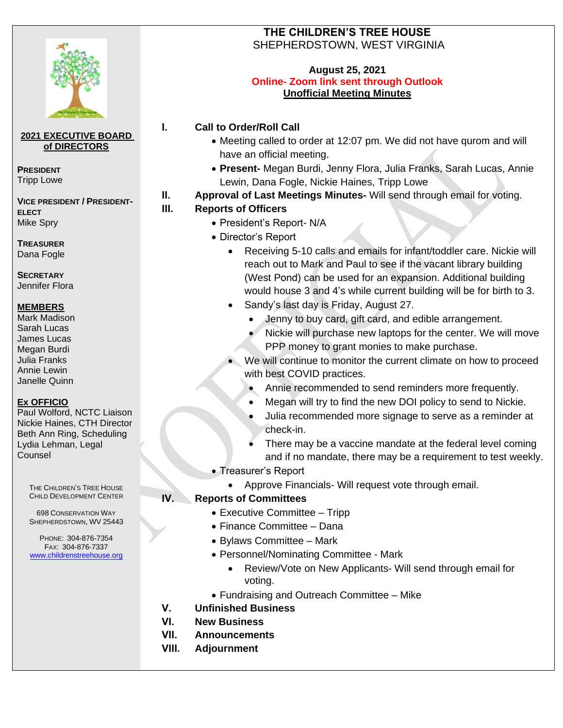

### **2021 EXECUTIVE BOARD of DIRECTORS**

**PRESIDENT** Tripp Lowe

**VICE PRESIDENT / PRESIDENT-ELECT** Mike Spry

**TREASURER** Dana Fogle

**SECRETARY** Jennifer Flora

### **MEMBERS**

Mark Madison Sarah Lucas James Lucas Megan Burdi Julia Franks Annie Lewin Janelle Quinn

### **Ex OFFICIO**

Paul Wolford, NCTC Liaison Nickie Haines, CTH Director Beth Ann Ring, Scheduling Lydia Lehman, Legal Counsel

THE CHILDREN'S TREE HOUSE CHILD DEVELOPMENT CENTER

698 CONSERVATION WAY SHEPHERDSTOWN, WV 25443

PHONE: 304-876-7354 FAX: 304-876-7337 www.childrenstreehouse.org

# **THE CHILDREN'S TREE HOUSE**  SHEPHERDSTOWN, WEST VIRGINIA

#### **August 25, 2021 Online- Zoom link sent through Outlook Unofficial Meeting Minutes**

# **I. Call to Order/Roll Call**

- Meeting called to order at 12:07 pm. We did not have qurom and will have an official meeting.
- **Present-** Megan Burdi, Jenny Flora, Julia Franks, Sarah Lucas, Annie Lewin, Dana Fogle, Nickie Haines, Tripp Lowe
- **II. Approval of Last Meetings Minutes-** Will send through email for voting.

## **III. Reports of Officers**

- President's Report- N/A
- Director's Report
	- Receiving 5-10 calls and emails for infant/toddler care. Nickie will reach out to Mark and Paul to see if the vacant library building (West Pond) can be used for an expansion. Additional building would house 3 and 4's while current building will be for birth to 3.
	- Sandy's last day is Friday, August 27.
		- Jenny to buy card, gift card, and edible arrangement.
		- Nickie will purchase new laptops for the center. We will move PPP money to grant monies to make purchase.
		- We will continue to monitor the current climate on how to proceed with best COVID practices.
			- Annie recommended to send reminders more frequently.
			- Megan will try to find the new DOI policy to send to Nickie.
			- Julia recommended more signage to serve as a reminder at check-in.
			- There may be a vaccine mandate at the federal level coming and if no mandate, there may be a requirement to test weekly.
- Treasurer's Report
	- Approve Financials- Will request vote through email.

## **IV. Reports of Committees**

- Executive Committee Tripp
- Finance Committee Dana
- Bylaws Committee Mark
- Personnel/Nominating Committee Mark
	- Review/Vote on New Applicants- Will send through email for voting.
- Fundraising and Outreach Committee Mike
- **V. Unfinished Business**
- **VI. New Business**
- **VII. Announcements**
- **VIII. Adjournment**